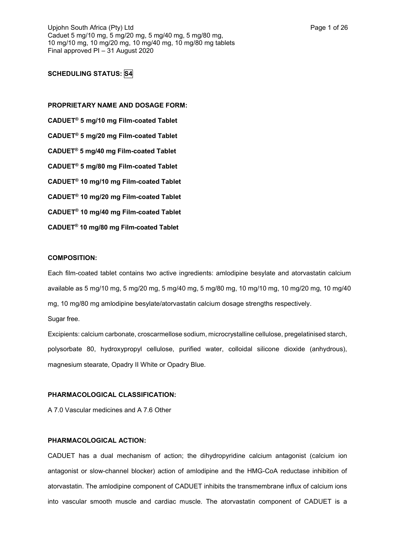# **SCHEDULING STATUS: S4**

**PROPRIETARY NAME AND DOSAGE FORM: CADUET® 5 mg/10 mg Film-coated Tablet CADUET® 5 mg/20 mg Film-coated Tablet CADUET® 5 mg/40 mg Film-coated Tablet CADUET® 5 mg/80 mg Film-coated Tablet CADUET® 10 mg/10 mg Film-coated Tablet CADUET® 10 mg/20 mg Film-coated Tablet CADUET® 10 mg/40 mg Film-coated Tablet CADUET® 10 mg/80 mg Film-coated Tablet**

## **COMPOSITION:**

Each film-coated tablet contains two active ingredients: amlodipine besylate and atorvastatin calcium available as 5 mg/10 mg, 5 mg/20 mg, 5 mg/40 mg, 5 mg/80 mg, 10 mg/10 mg, 10 mg/20 mg, 10 mg/40 mg, 10 mg/80 mg amlodipine besylate/atorvastatin calcium dosage strengths respectively. Sugar free.

Excipients: calcium carbonate, croscarmellose sodium, microcrystalline cellulose, pregelatinised starch, polysorbate 80, hydroxypropyl cellulose, purified water, colloidal silicone dioxide (anhydrous), magnesium stearate, Opadry II White or Opadry Blue.

## **PHARMACOLOGICAL CLASSIFICATION:**

A 7.0 Vascular medicines and A 7.6 Other

### **PHARMACOLOGICAL ACTION:**

CADUET has a dual mechanism of action; the dihydropyridine calcium antagonist (calcium ion antagonist or slow-channel blocker) action of amlodipine and the HMG-CoA reductase inhibition of atorvastatin. The amlodipine component of CADUET inhibits the transmembrane influx of calcium ions into vascular smooth muscle and cardiac muscle. The atorvastatin component of CADUET is a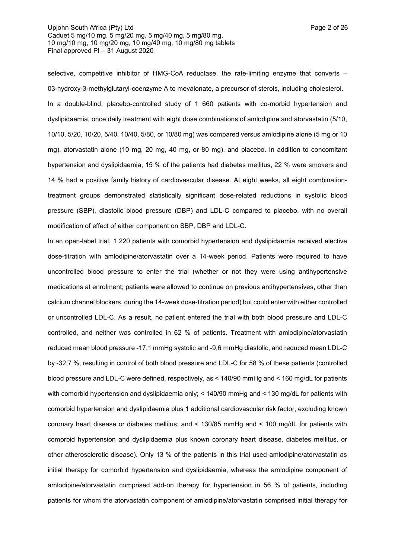## Upjohn South Africa (Pty) Ltd **Page 2 of 26** Caduet 5 mg/10 mg, 5 mg/20 mg, 5 mg/40 mg, 5 mg/80 mg, 10 mg/10 mg, 10 mg/20 mg, 10 mg/40 mg, 10 mg/80 mg tablets Final approved PI – 31 August 2020

selective, competitive inhibitor of HMG-CoA reductase, the rate-limiting enzyme that converts -03-hydroxy-3-methylglutaryl-coenzyme A to mevalonate, a precursor of sterols, including cholesterol. In a double-blind, placebo-controlled study of 1 660 patients with co-morbid hypertension and dyslipidaemia, once daily treatment with eight dose combinations of amlodipine and atorvastatin (5/10, 10/10, 5/20, 10/20, 5/40, 10/40, 5/80, or 10/80 mg) was compared versus amlodipine alone (5 mg or 10 mg), atorvastatin alone (10 mg, 20 mg, 40 mg, or 80 mg), and placebo. In addition to concomitant hypertension and dyslipidaemia, 15 % of the patients had diabetes mellitus, 22 % were smokers and 14 % had a positive family history of cardiovascular disease. At eight weeks, all eight combinationtreatment groups demonstrated statistically significant dose-related reductions in systolic blood pressure (SBP), diastolic blood pressure (DBP) and LDL-C compared to placebo, with no overall modification of effect of either component on SBP, DBP and LDL-C.

In an open-label trial, 1 220 patients with comorbid hypertension and dyslipidaemia received elective dose-titration with amlodipine/atorvastatin over a 14-week period. Patients were required to have uncontrolled blood pressure to enter the trial (whether or not they were using antihypertensive medications at enrolment; patients were allowed to continue on previous antihypertensives, other than calcium channel blockers, during the 14-week dose-titration period) but could enter with either controlled or uncontrolled LDL-C. As a result, no patient entered the trial with both blood pressure and LDL-C controlled, and neither was controlled in 62 % of patients. Treatment with amlodipine/atorvastatin reduced mean blood pressure -17,1 mmHg systolic and -9,6 mmHg diastolic, and reduced mean LDL-C by -32,7 %, resulting in control of both blood pressure and LDL-C for 58 % of these patients (controlled blood pressure and LDL-C were defined, respectively, as < 140/90 mmHg and < 160 mg/dL for patients with comorbid hypertension and dyslipidaemia only; < 140/90 mmHg and < 130 mg/dL for patients with comorbid hypertension and dyslipidaemia plus 1 additional cardiovascular risk factor, excluding known coronary heart disease or diabetes mellitus; and < 130/85 mmHg and < 100 mg/dL for patients with comorbid hypertension and dyslipidaemia plus known coronary heart disease, diabetes mellitus, or other atherosclerotic disease). Only 13 % of the patients in this trial used amlodipine/atorvastatin as initial therapy for comorbid hypertension and dyslipidaemia, whereas the amlodipine component of amlodipine/atorvastatin comprised add-on therapy for hypertension in 56 % of patients, including patients for whom the atorvastatin component of amlodipine/atorvastatin comprised initial therapy for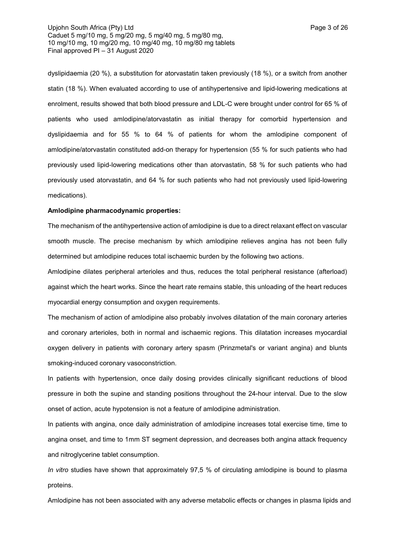## Upjohn South Africa (Pty) Ltd **Page 3 of 26** Caduet 5 mg/10 mg, 5 mg/20 mg, 5 mg/40 mg, 5 mg/80 mg, 10 mg/10 mg, 10 mg/20 mg, 10 mg/40 mg, 10 mg/80 mg tablets Final approved PI – 31 August 2020

dyslipidaemia (20 %), a substitution for atorvastatin taken previously (18 %), or a switch from another statin (18 %). When evaluated according to use of antihypertensive and lipid-lowering medications at enrolment, results showed that both blood pressure and LDL-C were brought under control for 65 % of patients who used amlodipine/atorvastatin as initial therapy for comorbid hypertension and dyslipidaemia and for 55 % to 64 % of patients for whom the amlodipine component of amlodipine/atorvastatin constituted add-on therapy for hypertension (55 % for such patients who had previously used lipid-lowering medications other than atorvastatin, 58 % for such patients who had previously used atorvastatin, and 64 % for such patients who had not previously used lipid-lowering medications).

### **Amlodipine pharmacodynamic properties:**

The mechanism of the antihypertensive action of amlodipine is due to a direct relaxant effect on vascular smooth muscle. The precise mechanism by which amlodipine relieves angina has not been fully determined but amlodipine reduces total ischaemic burden by the following two actions.

Amlodipine dilates peripheral arterioles and thus, reduces the total peripheral resistance (afterload) against which the heart works. Since the heart rate remains stable, this unloading of the heart reduces myocardial energy consumption and oxygen requirements.

The mechanism of action of amlodipine also probably involves dilatation of the main coronary arteries and coronary arterioles, both in normal and ischaemic regions. This dilatation increases myocardial oxygen delivery in patients with coronary artery spasm (Prinzmetal's or variant angina) and blunts smoking-induced coronary vasoconstriction.

In patients with hypertension, once daily dosing provides clinically significant reductions of blood pressure in both the supine and standing positions throughout the 24-hour interval. Due to the slow onset of action, acute hypotension is not a feature of amlodipine administration.

In patients with angina, once daily administration of amlodipine increases total exercise time, time to angina onset, and time to 1mm ST segment depression, and decreases both angina attack frequency and nitroglycerine tablet consumption.

*In vitro* studies have shown that approximately 97,5 % of circulating amlodipine is bound to plasma proteins.

Amlodipine has not been associated with any adverse metabolic effects or changes in plasma lipids and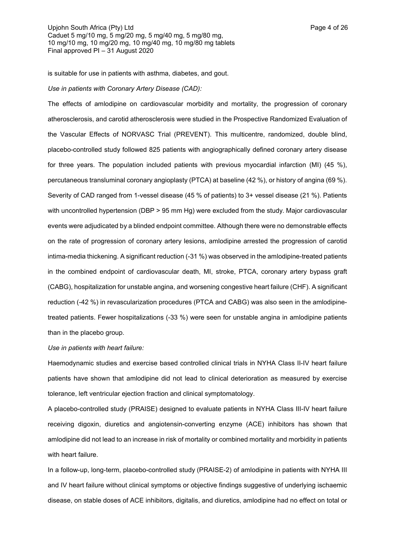is suitable for use in patients with asthma, diabetes, and gout.

#### *Use in patients with Coronary Artery Disease (CAD):*

The effects of amlodipine on cardiovascular morbidity and mortality, the progression of coronary atherosclerosis, and carotid atherosclerosis were studied in the Prospective Randomized Evaluation of the Vascular Effects of NORVASC Trial (PREVENT). This multicentre, randomized, double blind, placebo-controlled study followed 825 patients with angiographically defined coronary artery disease for three years. The population included patients with previous myocardial infarction (MI) (45 %), percutaneous transluminal coronary angioplasty (PTCA) at baseline (42 %), or history of angina (69 %). Severity of CAD ranged from 1-vessel disease (45 % of patients) to 3+ vessel disease (21 %). Patients with uncontrolled hypertension (DBP > 95 mm Hg) were excluded from the study. Major cardiovascular events were adjudicated by a blinded endpoint committee. Although there were no demonstrable effects on the rate of progression of coronary artery lesions, amlodipine arrested the progression of carotid intima-media thickening. A significant reduction (-31 %) was observed in the amlodipine-treated patients in the combined endpoint of cardiovascular death, MI, stroke, PTCA, coronary artery bypass graft (CABG), hospitalization for unstable angina, and worsening congestive heart failure (CHF). A significant reduction (-42 %) in revascularization procedures (PTCA and CABG) was also seen in the amlodipinetreated patients. Fewer hospitalizations (-33 %) were seen for unstable angina in amlodipine patients than in the placebo group.

*Use in patients with heart failure:*

Haemodynamic studies and exercise based controlled clinical trials in NYHA Class II-IV heart failure patients have shown that amlodipine did not lead to clinical deterioration as measured by exercise tolerance, left ventricular ejection fraction and clinical symptomatology.

A placebo-controlled study (PRAISE) designed to evaluate patients in NYHA Class III-IV heart failure receiving digoxin, diuretics and angiotensin-converting enzyme (ACE) inhibitors has shown that amlodipine did not lead to an increase in risk of mortality or combined mortality and morbidity in patients with heart failure.

In a follow-up, long-term, placebo-controlled study (PRAISE-2) of amlodipine in patients with NYHA III and IV heart failure without clinical symptoms or objective findings suggestive of underlying ischaemic disease, on stable doses of ACE inhibitors, digitalis, and diuretics, amlodipine had no effect on total or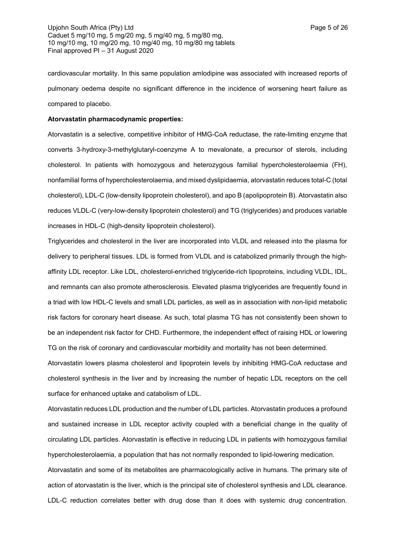cardiovascular mortality. In this same population amlodipine was associated with increased reports of pulmonary oedema despite no significant difference in the incidence of worsening heart failure as compared to placebo.

## **Atorvastatin pharmacodynamic properties:**

Atorvastatin is a selective, competitive inhibitor of HMG-CoA reductase, the rate-limiting enzyme that converts 3-hydroxy-3-methylglutaryl-coenzyme A to mevalonate, a precursor of sterols, including cholesterol. In patients with homozygous and heterozygous familial hypercholesterolaemia (FH), nonfamilial forms of hypercholesterolaemia, and mixed dyslipidaemia, atorvastatin reduces total-C (total cholesterol), LDL-C (low-density lipoprotein cholesterol), and apo B (apolipoprotein B). Atorvastatin also reduces VLDL-C (very-low-density lipoprotein cholesterol) and TG (triglycerides) and produces variable increases in HDL-C (high-density lipoprotein cholesterol).

Triglycerides and cholesterol in the liver are incorporated into VLDL and released into the plasma for delivery to peripheral tissues. LDL is formed from VLDL and is catabolized primarily through the highaffinity LDL receptor. Like LDL, cholesterol-enriched triglyceride-rich lipoproteins, including VLDL, IDL, and remnants can also promote atherosclerosis. Elevated plasma triglycerides are frequently found in a triad with low HDL-C levels and small LDL particles, as well as in association with non-lipid metabolic risk factors for coronary heart disease. As such, total plasma TG has not consistently been shown to be an independent risk factor for CHD. Furthermore, the independent effect of raising HDL or lowering TG on the risk of coronary and cardiovascular morbidity and mortality has not been determined.

Atorvastatin lowers plasma cholesterol and lipoprotein levels by inhibiting HMG-CoA reductase and cholesterol synthesis in the liver and by increasing the number of hepatic LDL receptors on the cell surface for enhanced uptake and catabolism of LDL.

Atorvastatin reduces LDL production and the number of LDL particles. Atorvastatin produces a profound and sustained increase in LDL receptor activity coupled with a beneficial change in the quality of circulating LDL particles. Atorvastatin is effective in reducing LDL in patients with homozygous familial hypercholesterolaemia, a population that has not normally responded to lipid-lowering medication.

Atorvastatin and some of its metabolites are pharmacologically active in humans. The primary site of action of atorvastatin is the liver, which is the principal site of cholesterol synthesis and LDL clearance. LDL-C reduction correlates better with drug dose than it does with systemic drug concentration.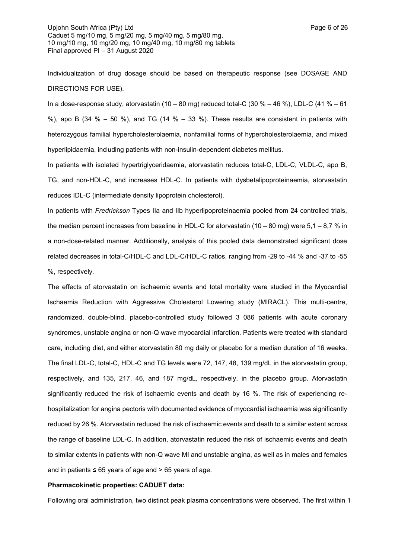Individualization of drug dosage should be based on therapeutic response (see DOSAGE AND DIRECTIONS FOR USE).

In a dose-response study, atorvastatin (10 – 80 mg) reduced total-C (30 % – 46 %), LDL-C (41 % – 61 %), apo B (34 % – 50 %), and TG (14 % – 33 %). These results are consistent in patients with heterozygous familial hypercholesterolaemia, nonfamilial forms of hypercholesterolaemia, and mixed hyperlipidaemia, including patients with non-insulin-dependent diabetes mellitus.

In patients with isolated hypertriglyceridaemia, atorvastatin reduces total-C, LDL-C, VLDL-C, apo B, TG, and non-HDL-C, and increases HDL-C. In patients with dysbetalipoproteinaemia, atorvastatin reduces IDL-C (intermediate density lipoprotein cholesterol).

In patients with *Fredrickson* Types IIa and IIb hyperlipoproteinaemia pooled from 24 controlled trials, the median percent increases from baseline in HDL-C for atorvastatin (10 – 80 mg) were  $5.1 - 8.7$  % in a non-dose-related manner. Additionally, analysis of this pooled data demonstrated significant dose related decreases in total-C/HDL-C and LDL-C/HDL-C ratios, ranging from -29 to -44 % and -37 to -55 %, respectively.

The effects of atorvastatin on ischaemic events and total mortality were studied in the Myocardial Ischaemia Reduction with Aggressive Cholesterol Lowering study (MIRACL). This multi-centre, randomized, double-blind, placebo-controlled study followed 3 086 patients with acute coronary syndromes, unstable angina or non-Q wave myocardial infarction. Patients were treated with standard care, including diet, and either atorvastatin 80 mg daily or placebo for a median duration of 16 weeks. The final LDL-C, total-C, HDL-C and TG levels were 72, 147, 48, 139 mg/dL in the atorvastatin group, respectively, and 135, 217, 46, and 187 mg/dL, respectively, in the placebo group. Atorvastatin significantly reduced the risk of ischaemic events and death by 16 %. The risk of experiencing rehospitalization for angina pectoris with documented evidence of myocardial ischaemia was significantly reduced by 26 %. Atorvastatin reduced the risk of ischaemic events and death to a similar extent across the range of baseline LDL-C. In addition, atorvastatin reduced the risk of ischaemic events and death to similar extents in patients with non-Q wave MI and unstable angina, as well as in males and females and in patients  $\leq 65$  years of age and  $> 65$  years of age.

#### **Pharmacokinetic properties: CADUET data:**

Following oral administration, two distinct peak plasma concentrations were observed. The first within 1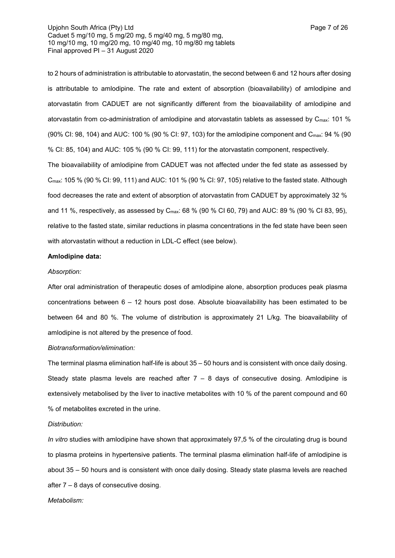to 2 hours of administration is attributable to atorvastatin, the second between 6 and 12 hours after dosing is attributable to amlodipine. The rate and extent of absorption (bioavailability) of amlodipine and atorvastatin from CADUET are not significantly different from the bioavailability of amlodipine and atorvastatin from co-administration of amlodipine and atorvastatin tablets as assessed by  $C_{\text{max}}$ : 101 % (90% CI: 98, 104) and AUC: 100 % (90 % CI: 97, 103) for the amlodipine component and Cmax: 94 % (90 % CI: 85, 104) and AUC: 105 % (90 % CI: 99, 111) for the atorvastatin component, respectively.

The bioavailability of amlodipine from CADUET was not affected under the fed state as assessed by Cmax: 105 % (90 % CI: 99, 111) and AUC: 101 % (90 % CI: 97, 105) relative to the fasted state. Although food decreases the rate and extent of absorption of atorvastatin from CADUET by approximately 32 % and 11 %, respectively, as assessed by Cmax: 68 % (90 % CI 60, 79) and AUC: 89 % (90 % CI 83, 95), relative to the fasted state, similar reductions in plasma concentrations in the fed state have been seen with atorvastatin without a reduction in LDL-C effect (see below).

### **Amlodipine data:**

## *Absorption:*

After oral administration of therapeutic doses of amlodipine alone, absorption produces peak plasma concentrations between 6 – 12 hours post dose. Absolute bioavailability has been estimated to be between 64 and 80 %. The volume of distribution is approximately 21 L/kg. The bioavailability of amlodipine is not altered by the presence of food.

### *Biotransformation/elimination:*

The terminal plasma elimination half-life is about 35 – 50 hours and is consistent with once daily dosing. Steady state plasma levels are reached after  $7 - 8$  days of consecutive dosing. Amlodipine is extensively metabolised by the liver to inactive metabolites with 10 % of the parent compound and 60 % of metabolites excreted in the urine.

### *Distribution:*

*In vitro* studies with amlodipine have shown that approximately 97,5 % of the circulating drug is bound to plasma proteins in hypertensive patients. The terminal plasma elimination half-life of amlodipine is about 35 – 50 hours and is consistent with once daily dosing. Steady state plasma levels are reached after 7 – 8 days of consecutive dosing.

### *Metabolism:*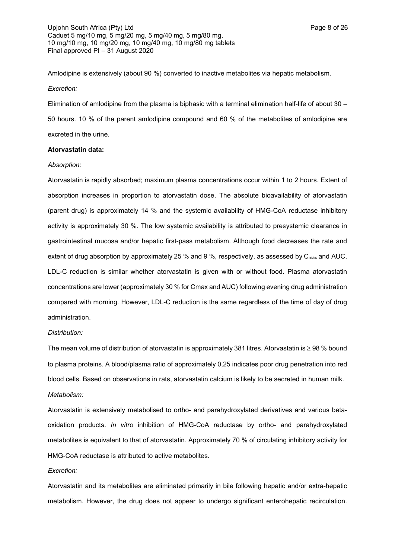Amlodipine is extensively (about 90 %) converted to inactive metabolites via hepatic metabolism. *Excretion:*

Elimination of amlodipine from the plasma is biphasic with a terminal elimination half-life of about 30 – 50 hours. 10 % of the parent amlodipine compound and 60 % of the metabolites of amlodipine are excreted in the urine.

### **Atorvastatin data:**

### *Absorption:*

Atorvastatin is rapidly absorbed; maximum plasma concentrations occur within 1 to 2 hours. Extent of absorption increases in proportion to atorvastatin dose. The absolute bioavailability of atorvastatin (parent drug) is approximately 14 % and the systemic availability of HMG-CoA reductase inhibitory activity is approximately 30 %. The low systemic availability is attributed to presystemic clearance in gastrointestinal mucosa and/or hepatic first-pass metabolism. Although food decreases the rate and extent of drug absorption by approximately 25 % and 9 %, respectively, as assessed by C<sub>max</sub> and AUC, LDL-C reduction is similar whether atorvastatin is given with or without food. Plasma atorvastatin concentrations are lower (approximately 30 % for Cmax and AUC) following evening drug administration compared with morning. However, LDL-C reduction is the same regardless of the time of day of drug administration.

## *Distribution:*

The mean volume of distribution of atorvastatin is approximately 381 litres. Atorvastatin is  $\geq$  98 % bound to plasma proteins. A blood/plasma ratio of approximately 0,25 indicates poor drug penetration into red blood cells. Based on observations in rats, atorvastatin calcium is likely to be secreted in human milk. *Metabolism:*

Atorvastatin is extensively metabolised to ortho- and parahydroxylated derivatives and various betaoxidation products. *In vitro* inhibition of HMG-CoA reductase by ortho- and parahydroxylated metabolites is equivalent to that of atorvastatin. Approximately 70 % of circulating inhibitory activity for HMG-CoA reductase is attributed to active metabolites.

#### *Excretion:*

Atorvastatin and its metabolites are eliminated primarily in bile following hepatic and/or extra-hepatic metabolism. However, the drug does not appear to undergo significant enterohepatic recirculation.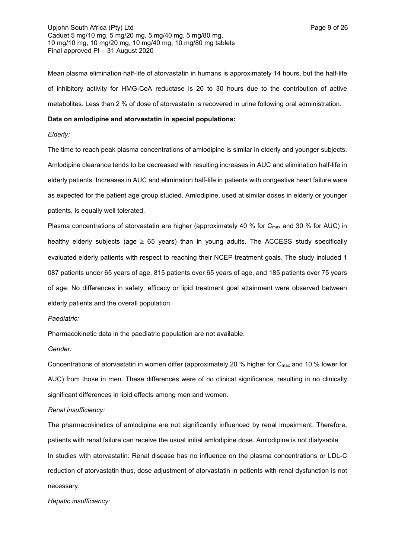Upjohn South Africa (Pty) Ltd **Page 9 of 26** Caduet 5 mg/10 mg, 5 mg/20 mg, 5 mg/40 mg, 5 mg/80 mg, 10 mg/10 mg, 10 mg/20 mg, 10 mg/40 mg, 10 mg/80 mg tablets Final approved PI – 31 August 2020

Mean plasma elimination half-life of atorvastatin in humans is approximately 14 hours, but the half-life of inhibitory activity for HMG-CoA reductase is 20 to 30 hours due to the contribution of active metabolites. Less than 2 % of dose of atorvastatin is recovered in urine following oral administration.

## **Data on amlodipine and atorvastatin in special populations:**

### *Elderly:*

The time to reach peak plasma concentrations of amlodipine is similar in elderly and younger subjects. Amlodipine clearance tends to be decreased with resulting increases in AUC and elimination half-life in elderly patients. Increases in AUC and elimination half-life in patients with congestive heart failure were as expected for the patient age group studied. Amlodipine, used at similar doses in elderly or younger patients, is equally well tolerated.

Plasma concentrations of atorvastatin are higher (approximately 40 % for C<sub>max</sub> and 30 % for AUC) in healthy elderly subjects (age  $\geq$  65 years) than in young adults. The ACCESS study specifically evaluated elderly patients with respect to reaching their NCEP treatment goals. The study included 1 087 patients under 65 years of age, 815 patients over 65 years of age, and 185 patients over 75 years of age. No differences in safety, efficacy or lipid treatment goal attainment were observed between elderly patients and the overall population.

## *Paediatric:*

Pharmacokinetic data in the paediatric population are not available.

### *Gender:*

Concentrations of atorvastatin in women differ (approximately 20 % higher for  $C_{\text{max}}$  and 10 % lower for AUC) from those in men. These differences were of no clinical significance, resulting in no clinically significant differences in lipid effects among men and women.

## *Renal insufficiency:*

The pharmacokinetics of amlodipine are not significantly influenced by renal impairment. Therefore, patients with renal failure can receive the usual initial amlodipine dose. Amlodipine is not dialysable. In studies with atorvastatin: Renal disease has no influence on the plasma concentrations or LDL-C reduction of atorvastatin thus, dose adjustment of atorvastatin in patients with renal dysfunction is not necessary.

#### *Hepatic insufficiency:*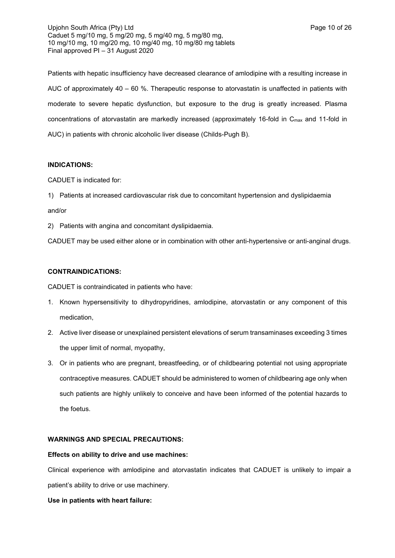Upjohn South Africa (Pty) Ltd **Page 10 of 26** Caduet 5 mg/10 mg, 5 mg/20 mg, 5 mg/40 mg, 5 mg/80 mg, 10 mg/10 mg, 10 mg/20 mg, 10 mg/40 mg, 10 mg/80 mg tablets Final approved PI – 31 August 2020

Patients with hepatic insufficiency have decreased clearance of amlodipine with a resulting increase in AUC of approximately  $40 - 60$  %. Therapeutic response to atorvastatin is unaffected in patients with moderate to severe hepatic dysfunction, but exposure to the drug is greatly increased. Plasma concentrations of atorvastatin are markedly increased (approximately 16-fold in C<sub>max</sub> and 11-fold in AUC) in patients with chronic alcoholic liver disease (Childs-Pugh B).

## **INDICATIONS:**

CADUET is indicated for:

1) Patients at increased cardiovascular risk due to concomitant hypertension and dyslipidaemia and/or

2) Patients with angina and concomitant dyslipidaemia.

CADUET may be used either alone or in combination with other anti-hypertensive or anti-anginal drugs.

### **CONTRAINDICATIONS:**

CADUET is contraindicated in patients who have:

- 1. Known hypersensitivity to dihydropyridines, amlodipine, atorvastatin or any component of this medication,
- 2. Active liver disease or unexplained persistent elevations of serum transaminases exceeding 3 times the upper limit of normal, myopathy,
- 3. Or in patients who are pregnant, breastfeeding, or of childbearing potential not using appropriate contraceptive measures. CADUET should be administered to women of childbearing age only when such patients are highly unlikely to conceive and have been informed of the potential hazards to the foetus.

## **WARNINGS AND SPECIAL PRECAUTIONS:**

#### **Effects on ability to drive and use machines:**

Clinical experience with amlodipine and atorvastatin indicates that CADUET is unlikely to impair a patient's ability to drive or use machinery.

**Use in patients with heart failure:**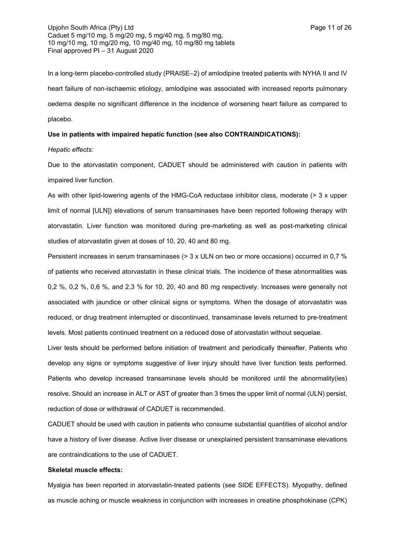In a long-term placebo-controlled study (PRAISE–2) of amlodipine treated patients with NYHA II and IV heart failure of non-ischaemic etiology, amlodipine was associated with increased reports pulmonary oedema despite no significant difference in the incidence of worsening heart failure as compared to placebo.

## **Use in patients with impaired hepatic function (see also CONTRAINDICATIONS):**

#### *Hepatic effects:*

Due to the atorvastatin component, CADUET should be administered with caution in patients with impaired liver function.

As with other lipid-lowering agents of the HMG-CoA reductase inhibitor class, moderate (> 3 x upper limit of normal [ULN]) elevations of serum transaminases have been reported following therapy with atorvastatin. Liver function was monitored during pre-marketing as well as post-marketing clinical studies of atorvastatin given at doses of 10, 20, 40 and 80 mg.

Persistent increases in serum transaminases (> 3 x ULN on two or more occasions) occurred in 0,7 % of patients who received atorvastatin in these clinical trials. The incidence of these abnormalities was 0,2 %, 0,2 %, 0,6 %, and 2,3 % for 10, 20, 40 and 80 mg respectively. Increases were generally not associated with jaundice or other clinical signs or symptoms. When the dosage of atorvastatin was reduced, or drug treatment interrupted or discontinued, transaminase levels returned to pre-treatment levels. Most patients continued treatment on a reduced dose of atorvastatin without sequelae.

Liver tests should be performed before initiation of treatment and periodically thereafter. Patients who develop any signs or symptoms suggestive of liver injury should have liver function tests performed. Patients who develop increased transaminase levels should be monitored until the abnormality(ies) resolve. Should an increase in ALT or AST of greater than 3 times the upper limit of normal (ULN) persist, reduction of dose or withdrawal of CADUET is recommended.

CADUET should be used with caution in patients who consume substantial quantities of alcohol and/or have a history of liver disease. Active liver disease or unexplained persistent transaminase elevations are contraindications to the use of CADUET.

### **Skeletal muscle effects:**

Myalgia has been reported in atorvastatin-treated patients (see SIDE EFFECTS). Myopathy, defined as muscle aching or muscle weakness in conjunction with increases in creatine phosphokinase (CPK)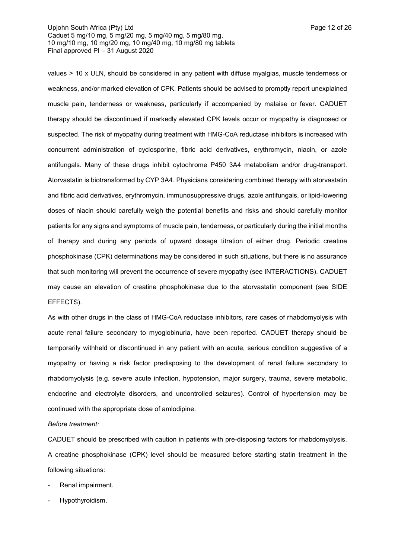values > 10 x ULN, should be considered in any patient with diffuse myalgias, muscle tenderness or weakness, and/or marked elevation of CPK. Patients should be advised to promptly report unexplained muscle pain, tenderness or weakness, particularly if accompanied by malaise or fever. CADUET therapy should be discontinued if markedly elevated CPK levels occur or myopathy is diagnosed or suspected. The risk of myopathy during treatment with HMG-CoA reductase inhibitors is increased with concurrent administration of cyclosporine, fibric acid derivatives, erythromycin, niacin, or azole antifungals. Many of these drugs inhibit cytochrome P450 3A4 metabolism and/or drug-transport. Atorvastatin is biotransformed by CYP 3A4. Physicians considering combined therapy with atorvastatin and fibric acid derivatives, erythromycin, immunosuppressive drugs, azole antifungals, or lipid-lowering doses of niacin should carefully weigh the potential benefits and risks and should carefully monitor patients for any signs and symptoms of muscle pain, tenderness, or particularly during the initial months of therapy and during any periods of upward dosage titration of either drug. Periodic creatine phosphokinase (CPK) determinations may be considered in such situations, but there is no assurance that such monitoring will prevent the occurrence of severe myopathy (see INTERACTIONS). CADUET may cause an elevation of creatine phosphokinase due to the atorvastatin component (see SIDE EFFECTS).

As with other drugs in the class of HMG-CoA reductase inhibitors, rare cases of rhabdomyolysis with acute renal failure secondary to myoglobinuria, have been reported. CADUET therapy should be temporarily withheld or discontinued in any patient with an acute, serious condition suggestive of a myopathy or having a risk factor predisposing to the development of renal failure secondary to rhabdomyolysis (e.g. severe acute infection, hypotension, major surgery, trauma, severe metabolic, endocrine and electrolyte disorders, and uncontrolled seizures). Control of hypertension may be continued with the appropriate dose of amlodipine.

*Before treatment:*

CADUET should be prescribed with caution in patients with pre-disposing factors for rhabdomyolysis. A creatine phosphokinase (CPK) level should be measured before starting statin treatment in the following situations:

- Renal impairment.
- Hypothyroidism.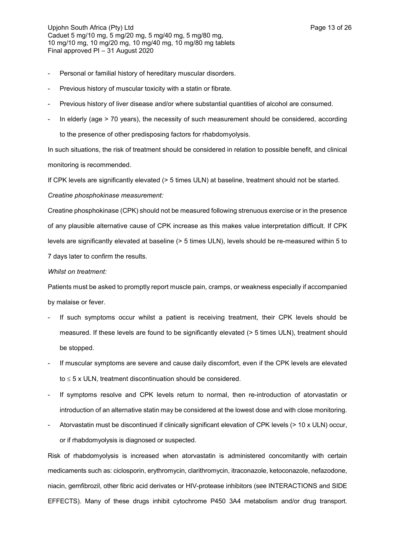- Personal or familial history of hereditary muscular disorders.
- Previous history of muscular toxicity with a statin or fibrate.
- Previous history of liver disease and/or where substantial quantities of alcohol are consumed.
- In elderly (age > 70 years), the necessity of such measurement should be considered, according to the presence of other predisposing factors for rhabdomyolysis.

In such situations, the risk of treatment should be considered in relation to possible benefit, and clinical monitoring is recommended.

If CPK levels are significantly elevated (> 5 times ULN) at baseline, treatment should not be started.

*Creatine phosphokinase measurement:*

Creatine phosphokinase (CPK) should not be measured following strenuous exercise or in the presence of any plausible alternative cause of CPK increase as this makes value interpretation difficult. If CPK levels are significantly elevated at baseline (> 5 times ULN), levels should be re-measured within 5 to 7 days later to confirm the results.

## *Whilst on treatment:*

Patients must be asked to promptly report muscle pain, cramps, or weakness especially if accompanied by malaise or fever.

- If such symptoms occur whilst a patient is receiving treatment, their CPK levels should be measured. If these levels are found to be significantly elevated (> 5 times ULN), treatment should be stopped.
- If muscular symptoms are severe and cause daily discomfort, even if the CPK levels are elevated to  $\leq$  5 x ULN, treatment discontinuation should be considered.
- If symptoms resolve and CPK levels return to normal, then re-introduction of atorvastatin or introduction of an alternative statin may be considered at the lowest dose and with close monitoring.
- Atorvastatin must be discontinued if clinically significant elevation of CPK levels (> 10 x ULN) occur, or if rhabdomyolysis is diagnosed or suspected.

Risk of rhabdomyolysis is increased when atorvastatin is administered concomitantly with certain medicaments such as: ciclosporin, erythromycin, clarithromycin, itraconazole, ketoconazole, nefazodone, niacin, gemfibrozil, other fibric acid derivates or HIV-protease inhibitors (see INTERACTIONS and SIDE EFFECTS). Many of these drugs inhibit cytochrome P450 3A4 metabolism and/or drug transport.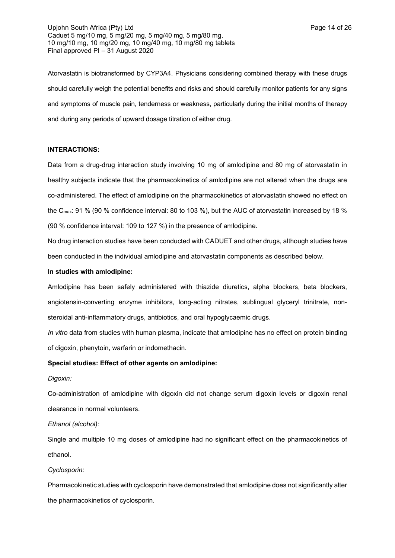Upjohn South Africa (Pty) Ltd **Page 14 of 26** Page 14 of 26 Caduet 5 mg/10 mg, 5 mg/20 mg, 5 mg/40 mg, 5 mg/80 mg, 10 mg/10 mg, 10 mg/20 mg, 10 mg/40 mg, 10 mg/80 mg tablets Final approved PI – 31 August 2020

Atorvastatin is biotransformed by CYP3A4. Physicians considering combined therapy with these drugs should carefully weigh the potential benefits and risks and should carefully monitor patients for any signs and symptoms of muscle pain, tenderness or weakness, particularly during the initial months of therapy and during any periods of upward dosage titration of either drug.

## **INTERACTIONS:**

Data from a drug-drug interaction study involving 10 mg of amlodipine and 80 mg of atorvastatin in healthy subjects indicate that the pharmacokinetics of amlodipine are not altered when the drugs are co-administered. The effect of amlodipine on the pharmacokinetics of atorvastatin showed no effect on the Cmax: 91 % (90 % confidence interval: 80 to 103 %), but the AUC of atorvastatin increased by 18 % (90 % confidence interval: 109 to 127 %) in the presence of amlodipine.

No drug interaction studies have been conducted with CADUET and other drugs, although studies have been conducted in the individual amlodipine and atorvastatin components as described below.

## **In studies with amlodipine:**

Amlodipine has been safely administered with thiazide diuretics, alpha blockers, beta blockers, angiotensin-converting enzyme inhibitors, long-acting nitrates, sublingual glyceryl trinitrate, nonsteroidal anti-inflammatory drugs, antibiotics, and oral hypoglycaemic drugs.

*In vitro* data from studies with human plasma, indicate that amlodipine has no effect on protein binding of digoxin, phenytoin, warfarin or indomethacin.

## **Special studies: Effect of other agents on amlodipine:**

### *Digoxin:*

Co-administration of amlodipine with digoxin did not change serum digoxin levels or digoxin renal clearance in normal volunteers.

*Ethanol (alcohol):*

Single and multiple 10 mg doses of amlodipine had no significant effect on the pharmacokinetics of ethanol.

#### *Cyclosporin:*

Pharmacokinetic studies with cyclosporin have demonstrated that amlodipine does not significantly alter the pharmacokinetics of cyclosporin.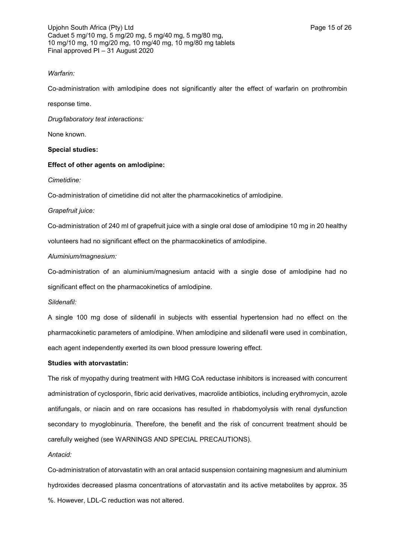Upjohn South Africa (Pty) Ltd **Page 15 of 26** Caduet 5 mg/10 mg, 5 mg/20 mg, 5 mg/40 mg, 5 mg/80 mg, 10 mg/10 mg, 10 mg/20 mg, 10 mg/40 mg, 10 mg/80 mg tablets Final approved PI – 31 August 2020

## *Warfarin:*

Co-administration with amlodipine does not significantly alter the effect of warfarin on prothrombin

response time.

*Drug/laboratory test interactions:*

None known.

## **Special studies:**

## **Effect of other agents on amlodipine:**

## *Cimetidine:*

Co-administration of cimetidine did not alter the pharmacokinetics of amlodipine.

## *Grapefruit juice:*

Co-administration of 240 ml of grapefruit juice with a single oral dose of amlodipine 10 mg in 20 healthy volunteers had no significant effect on the pharmacokinetics of amlodipine.

## *Aluminium/magnesium:*

Co-administration of an aluminium/magnesium antacid with a single dose of amlodipine had no significant effect on the pharmacokinetics of amlodipine.

## *Sildenafil:*

A single 100 mg dose of sildenafil in subjects with essential hypertension had no effect on the pharmacokinetic parameters of amlodipine. When amlodipine and sildenafil were used in combination, each agent independently exerted its own blood pressure lowering effect.

## **Studies with atorvastatin:**

The risk of myopathy during treatment with HMG CoA reductase inhibitors is increased with concurrent administration of cyclosporin, fibric acid derivatives, macrolide antibiotics, including erythromycin, azole antifungals, or niacin and on rare occasions has resulted in rhabdomyolysis with renal dysfunction secondary to myoglobinuria. Therefore, the benefit and the risk of concurrent treatment should be carefully weighed (see WARNINGS AND SPECIAL PRECAUTIONS).

## *Antacid:*

Co-administration of atorvastatin with an oral antacid suspension containing magnesium and aluminium hydroxides decreased plasma concentrations of atorvastatin and its active metabolites by approx. 35 %. However, LDL-C reduction was not altered.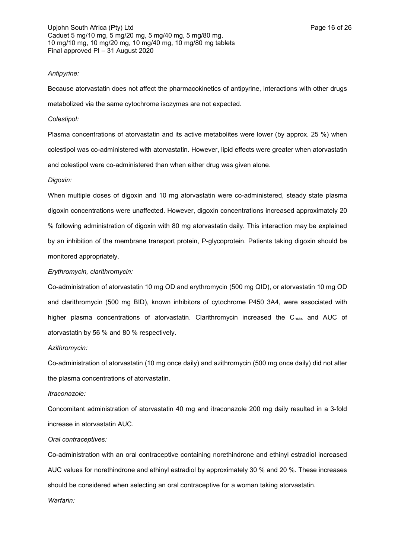### *Antipyrine:*

Because atorvastatin does not affect the pharmacokinetics of antipyrine, interactions with other drugs metabolized via the same cytochrome isozymes are not expected.

### *Colestipol:*

Plasma concentrations of atorvastatin and its active metabolites were lower (by approx. 25 %) when colestipol was co-administered with atorvastatin. However, lipid effects were greater when atorvastatin and colestipol were co-administered than when either drug was given alone.

### *Digoxin:*

When multiple doses of digoxin and 10 mg atorvastatin were co-administered, steady state plasma digoxin concentrations were unaffected. However, digoxin concentrations increased approximately 20 % following administration of digoxin with 80 mg atorvastatin daily. This interaction may be explained by an inhibition of the membrane transport protein, P-glycoprotein. Patients taking digoxin should be monitored appropriately.

## *Erythromycin, clarithromycin:*

Co-administration of atorvastatin 10 mg OD and erythromycin (500 mg QID), or atorvastatin 10 mg OD and clarithromycin (500 mg BID), known inhibitors of cytochrome P450 3A4, were associated with higher plasma concentrations of atorvastatin. Clarithromycin increased the C<sub>max</sub> and AUC of atorvastatin by 56 % and 80 % respectively.

*Azithromycin:*

Co-administration of atorvastatin (10 mg once daily) and azithromycin (500 mg once daily) did not alter the plasma concentrations of atorvastatin.

#### *Itraconazole:*

Concomitant administration of atorvastatin 40 mg and itraconazole 200 mg daily resulted in a 3-fold increase in atorvastatin AUC.

### *Oral contraceptives:*

Co-administration with an oral contraceptive containing norethindrone and ethinyl estradiol increased AUC values for norethindrone and ethinyl estradiol by approximately 30 % and 20 %. These increases should be considered when selecting an oral contraceptive for a woman taking atorvastatin. *Warfarin:*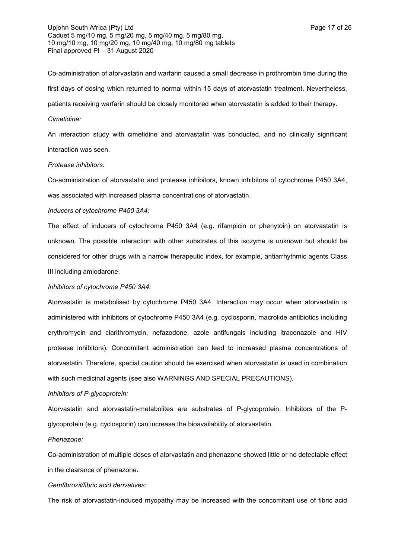Upjohn South Africa (Pty) Ltd **Page 17** of 26 Caduet 5 mg/10 mg, 5 mg/20 mg, 5 mg/40 mg, 5 mg/80 mg, 10 mg/10 mg, 10 mg/20 mg, 10 mg/40 mg, 10 mg/80 mg tablets Final approved PI – 31 August 2020

Co-administration of atorvastatin and warfarin caused a small decrease in prothrombin time during the first days of dosing which returned to normal within 15 days of atorvastatin treatment. Nevertheless, patients receiving warfarin should be closely monitored when atorvastatin is added to their therapy. *Cimetidine:*

An interaction study with cimetidine and atorvastatin was conducted, and no clinically significant interaction was seen.

#### *Protease inhibitors:*

Co-administration of atorvastatin and protease inhibitors, known inhibitors of cytochrome P450 3A4, was associated with increased plasma concentrations of atorvastatin.

## *Inducers of cytochrome P450 3A4:*

The effect of inducers of cytochrome P450 3A4 (e.g. rifampicin or phenytoin) on atorvastatin is unknown. The possible interaction with other substrates of this isozyme is unknown but should be considered for other drugs with a narrow therapeutic index, for example, antiarrhythmic agents Class III including amiodarone.

#### *Inhibitors of cytochrome P450 3A4:*

Atorvastatin is metabolised by cytochrome P450 3A4. Interaction may occur when atorvastatin is administered with inhibitors of cytochrome P450 3A4 (e.g. cyclosporin, macrolide antibiotics including erythromycin and clarithromycin, nefazodone, azole antifungals including itraconazole and HIV protease inhibitors). Concomitant administration can lead to increased plasma concentrations of atorvastatin. Therefore, special caution should be exercised when atorvastatin is used in combination with such medicinal agents (see also WARNINGS AND SPECIAL PRECAUTIONS).

#### *Inhibitors of P-glycoprotein:*

Atorvastatin and atorvastatin-metabolites are substrates of P-glycoprotein. Inhibitors of the Pglycoprotein (e.g. cyclosporin) can increase the bioavailability of atorvastatin.

#### *Phenazone:*

Co-administration of multiple doses of atorvastatin and phenazone showed little or no detectable effect in the clearance of phenazone.

#### *Gemfibrozil/fibric acid derivatives:*

The risk of atorvastatin-induced myopathy may be increased with the concomitant use of fibric acid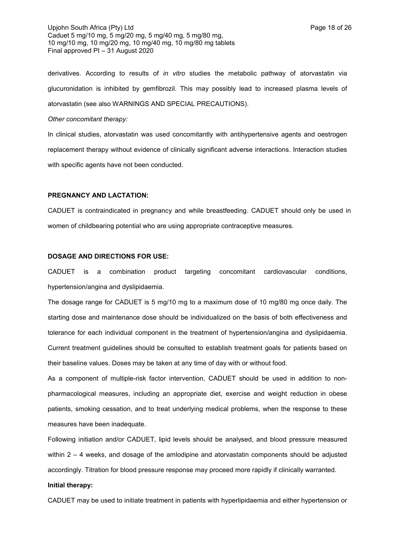Upjohn South Africa (Pty) Ltd **Page 18 of 26** Page 18 of 26 Caduet 5 mg/10 mg, 5 mg/20 mg, 5 mg/40 mg, 5 mg/80 mg, 10 mg/10 mg, 10 mg/20 mg, 10 mg/40 mg, 10 mg/80 mg tablets Final approved PI – 31 August 2020

derivatives. According to results of *in vitro* studies the metabolic pathway of atorvastatin via glucuronidation is inhibited by gemfibrozil. This may possibly lead to increased plasma levels of atorvastatin (see also WARNINGS AND SPECIAL PRECAUTIONS).

### *Other concomitant therapy:*

In clinical studies, atorvastatin was used concomitantly with antihypertensive agents and oestrogen replacement therapy without evidence of clinically significant adverse interactions. Interaction studies with specific agents have not been conducted.

### **PREGNANCY AND LACTATION:**

CADUET is contraindicated in pregnancy and while breastfeeding. CADUET should only be used in women of childbearing potential who are using appropriate contraceptive measures.

### **DOSAGE AND DIRECTIONS FOR USE:**

CADUET is a combination product targeting concomitant cardiovascular conditions, hypertension/angina and dyslipidaemia.

The dosage range for CADUET is 5 mg/10 mg to a maximum dose of 10 mg/80 mg once daily. The starting dose and maintenance dose should be individualized on the basis of both effectiveness and tolerance for each individual component in the treatment of hypertension/angina and dyslipidaemia. Current treatment guidelines should be consulted to establish treatment goals for patients based on their baseline values. Doses may be taken at any time of day with or without food.

As a component of multiple-risk factor intervention, CADUET should be used in addition to nonpharmacological measures, including an appropriate diet, exercise and weight reduction in obese patients, smoking cessation, and to treat underlying medical problems, when the response to these measures have been inadequate.

Following initiation and/or CADUET, lipid levels should be analysed, and blood pressure measured within 2 – 4 weeks, and dosage of the amlodipine and atorvastatin components should be adjusted accordingly. Titration for blood pressure response may proceed more rapidly if clinically warranted.

#### **Initial therapy:**

CADUET may be used to initiate treatment in patients with hyperlipidaemia and either hypertension or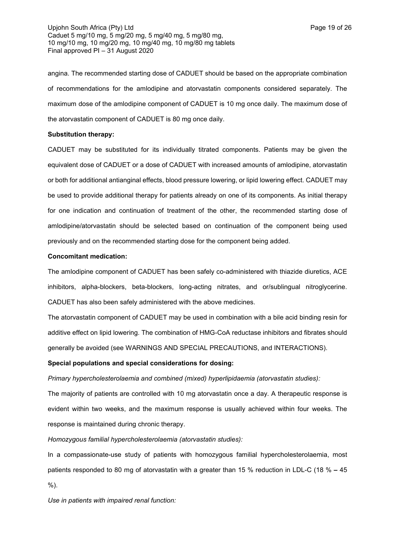angina. The recommended starting dose of CADUET should be based on the appropriate combination of recommendations for the amlodipine and atorvastatin components considered separately. The maximum dose of the amlodipine component of CADUET is 10 mg once daily. The maximum dose of the atorvastatin component of CADUET is 80 mg once daily.

## **Substitution therapy:**

CADUET may be substituted for its individually titrated components. Patients may be given the equivalent dose of CADUET or a dose of CADUET with increased amounts of amlodipine, atorvastatin or both for additional antianginal effects, blood pressure lowering, or lipid lowering effect. CADUET may be used to provide additional therapy for patients already on one of its components. As initial therapy for one indication and continuation of treatment of the other, the recommended starting dose of amlodipine/atorvastatin should be selected based on continuation of the component being used previously and on the recommended starting dose for the component being added.

## **Concomitant medication:**

The amlodipine component of CADUET has been safely co-administered with thiazide diuretics, ACE inhibitors, alpha-blockers, beta-blockers, long-acting nitrates, and or/sublingual nitroglycerine. CADUET has also been safely administered with the above medicines.

The atorvastatin component of CADUET may be used in combination with a bile acid binding resin for additive effect on lipid lowering. The combination of HMG-CoA reductase inhibitors and fibrates should generally be avoided (see WARNINGS AND SPECIAL PRECAUTIONS, and INTERACTIONS).

## **Special populations and special considerations for dosing:**

*Primary hypercholesterolaemia and combined (mixed) hyperlipidaemia (atorvastatin studies):*

The majority of patients are controlled with 10 mg atorvastatin once a day. A therapeutic response is evident within two weeks, and the maximum response is usually achieved within four weeks. The response is maintained during chronic therapy.

## *Homozygous familial hypercholesterolaemia (atorvastatin studies):*

In a compassionate-use study of patients with homozygous familial hypercholesterolaemia, most patients responded to 80 mg of atorvastatin with a greater than 15 % reduction in LDL-C (18 % **–** 45 %).

*Use in patients with impaired renal function:*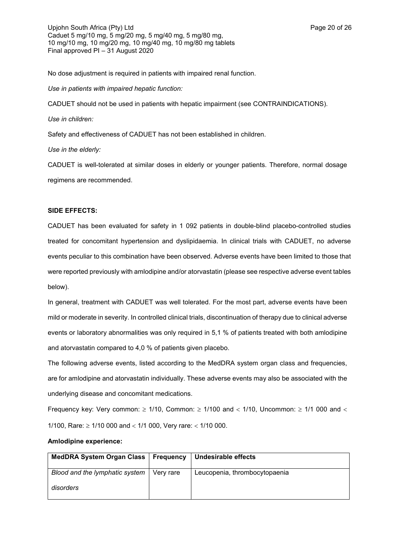Upjohn South Africa (Pty) Ltd **Page 20 of 26** Caduet 5 mg/10 mg, 5 mg/20 mg, 5 mg/40 mg, 5 mg/80 mg, 10 mg/10 mg, 10 mg/20 mg, 10 mg/40 mg, 10 mg/80 mg tablets Final approved PI – 31 August 2020

No dose adjustment is required in patients with impaired renal function.

*Use in patients with impaired hepatic function:*

CADUET should not be used in patients with hepatic impairment (see CONTRAINDICATIONS).

*Use in children:*

Safety and effectiveness of CADUET has not been established in children.

*Use in the elderly:*

CADUET is well-tolerated at similar doses in elderly or younger patients. Therefore, normal dosage regimens are recommended.

### **SIDE EFFECTS:**

CADUET has been evaluated for safety in 1 092 patients in double-blind placebo-controlled studies treated for concomitant hypertension and dyslipidaemia. In clinical trials with CADUET, no adverse events peculiar to this combination have been observed. Adverse events have been limited to those that were reported previously with amlodipine and/or atorvastatin (please see respective adverse event tables below).

In general, treatment with CADUET was well tolerated. For the most part, adverse events have been mild or moderate in severity. In controlled clinical trials, discontinuation of therapy due to clinical adverse events or laboratory abnormalities was only required in 5,1 % of patients treated with both amlodipine and atorvastatin compared to 4,0 % of patients given placebo.

The following adverse events, listed according to the MedDRA system organ class and frequencies, are for amlodipine and atorvastatin individually. These adverse events may also be associated with the underlying disease and concomitant medications.

Frequency key: Very common:  $\geq 1/10$ , Common:  $\geq 1/100$  and  $\lt 1/10$ , Uncommon:  $\geq 1/1$  000 and  $\lt$ 1/100, Rare:  $\geq$  1/10 000 and  $<$  1/1 000, Very rare:  $<$  1/10 000.

### **Amlodipine experience:**

| MedDRA System Organ Class   Frequency |           | <b>Undesirable effects</b>    |
|---------------------------------------|-----------|-------------------------------|
| Blood and the lymphatic system        | Verv rare | Leucopenia, thrombocytopaenia |
| disorders                             |           |                               |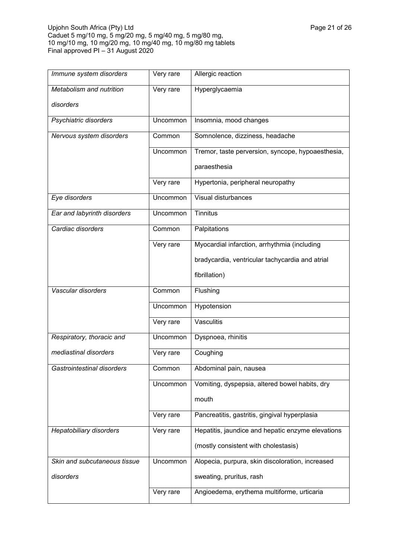| Immune system disorders      | Very rare | Allergic reaction                                 |
|------------------------------|-----------|---------------------------------------------------|
| Metabolism and nutrition     | Very rare | Hyperglycaemia                                    |
| disorders                    |           |                                                   |
| Psychiatric disorders        | Uncommon  | Insomnia, mood changes                            |
| Nervous system disorders     | Common    | Somnolence, dizziness, headache                   |
|                              | Uncommon  | Tremor, taste perversion, syncope, hypoaesthesia, |
|                              |           | paraesthesia                                      |
|                              | Very rare | Hypertonia, peripheral neuropathy                 |
| Eye disorders                | Uncommon  | Visual disturbances                               |
| Ear and labyrinth disorders  | Uncommon  | Tinnitus                                          |
| Cardiac disorders            | Common    | Palpitations                                      |
|                              | Very rare | Myocardial infarction, arrhythmia (including      |
|                              |           | bradycardia, ventricular tachycardia and atrial   |
|                              |           | fibrillation)                                     |
|                              |           |                                                   |
| Vascular disorders           | Common    | Flushing                                          |
|                              | Uncommon  | Hypotension                                       |
|                              | Very rare | Vasculitis                                        |
| Respiratory, thoracic and    | Uncommon  | Dyspnoea, rhinitis                                |
| mediastinal disorders        | Very rare | Coughing                                          |
| Gastrointestinal disorders   | Common    | Abdominal pain, nausea                            |
|                              | Uncommon  | Vomiting, dyspepsia, altered bowel habits, dry    |
|                              |           | mouth                                             |
|                              | Very rare | Pancreatitis, gastritis, gingival hyperplasia     |
| Hepatobiliary disorders      | Very rare | Hepatitis, jaundice and hepatic enzyme elevations |
|                              |           | (mostly consistent with cholestasis)              |
| Skin and subcutaneous tissue | Uncommon  | Alopecia, purpura, skin discoloration, increased  |
| disorders                    |           | sweating, pruritus, rash                          |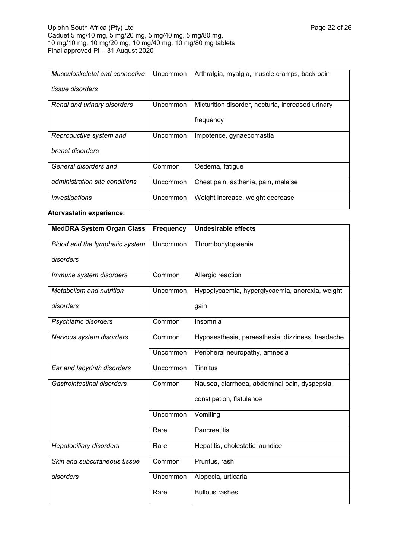| Musculoskeletal and connective | Uncommon | Arthralgia, myalgia, muscle cramps, back pain     |
|--------------------------------|----------|---------------------------------------------------|
| tissue disorders               |          |                                                   |
| Renal and urinary disorders    | Uncommon | Micturition disorder, nocturia, increased urinary |
|                                |          | frequency                                         |
| Reproductive system and        | Uncommon | Impotence, gynaecomastia                          |
| breast disorders               |          |                                                   |
| General disorders and          | Common   | Oedema, fatigue                                   |
| administration site conditions | Uncommon | Chest pain, asthenia, pain, malaise               |
| Investigations                 | Uncommon | Weight increase, weight decrease                  |

# **Atorvastatin experience:**

| <b>MedDRA System Organ Class</b> | Frequency | <b>Undesirable effects</b>                       |
|----------------------------------|-----------|--------------------------------------------------|
| Blood and the lymphatic system   | Uncommon  | Thrombocytopaenia                                |
| disorders                        |           |                                                  |
| Immune system disorders          | Common    | Allergic reaction                                |
| Metabolism and nutrition         | Uncommon  | Hypoglycaemia, hyperglycaemia, anorexia, weight  |
| disorders                        |           | gain                                             |
| Psychiatric disorders            | Common    | Insomnia                                         |
| Nervous system disorders         | Common    | Hypoaesthesia, paraesthesia, dizziness, headache |
|                                  | Uncommon  | Peripheral neuropathy, amnesia                   |
| Ear and labyrinth disorders      | Uncommon  | Tinnitus                                         |
| Gastrointestinal disorders       | Common    | Nausea, diarrhoea, abdominal pain, dyspepsia,    |
|                                  |           | constipation, flatulence                         |
|                                  | Uncommon  | Vomiting                                         |
|                                  | Rare      | Pancreatitis                                     |
| <b>Hepatobiliary disorders</b>   | Rare      | Hepatitis, cholestatic jaundice                  |
| Skin and subcutaneous tissue     | Common    | Pruritus, rash                                   |
| disorders                        | Uncommon  | Alopecia, urticaria                              |
|                                  | Rare      | <b>Bullous rashes</b>                            |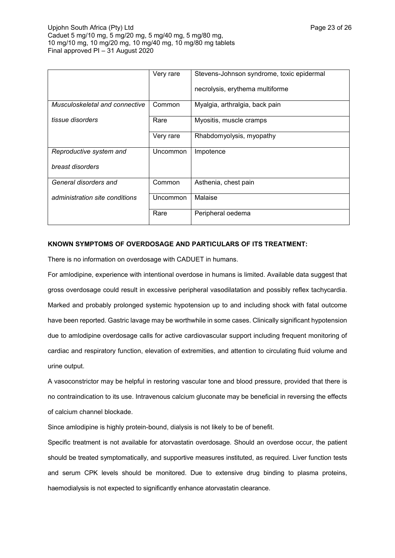|                                | Very rare | Stevens-Johnson syndrome, toxic epidermal<br>necrolysis, erythema multiforme |
|--------------------------------|-----------|------------------------------------------------------------------------------|
| Musculoskeletal and connective | Common    | Myalgia, arthralgia, back pain                                               |
| tissue disorders               | Rare      | Myositis, muscle cramps                                                      |
|                                | Very rare | Rhabdomyolysis, myopathy                                                     |
| Reproductive system and        | Uncommon  | Impotence                                                                    |
| breast disorders               |           |                                                                              |
| General disorders and          | Common    | Asthenia, chest pain                                                         |
| administration site conditions | Uncommon  | Malaise                                                                      |
|                                | Rare      | Peripheral oedema                                                            |

## **KNOWN SYMPTOMS OF OVERDOSAGE AND PARTICULARS OF ITS TREATMENT:**

There is no information on overdosage with CADUET in humans.

For amlodipine, experience with intentional overdose in humans is limited. Available data suggest that gross overdosage could result in excessive peripheral vasodilatation and possibly reflex tachycardia. Marked and probably prolonged systemic hypotension up to and including shock with fatal outcome have been reported. Gastric lavage may be worthwhile in some cases. Clinically significant hypotension due to amlodipine overdosage calls for active cardiovascular support including frequent monitoring of cardiac and respiratory function, elevation of extremities, and attention to circulating fluid volume and urine output.

A vasoconstrictor may be helpful in restoring vascular tone and blood pressure, provided that there is no contraindication to its use. Intravenous calcium gluconate may be beneficial in reversing the effects of calcium channel blockade.

Since amlodipine is highly protein-bound, dialysis is not likely to be of benefit.

Specific treatment is not available for atorvastatin overdosage. Should an overdose occur, the patient should be treated symptomatically, and supportive measures instituted, as required. Liver function tests and serum CPK levels should be monitored. Due to extensive drug binding to plasma proteins, haemodialysis is not expected to significantly enhance atorvastatin clearance.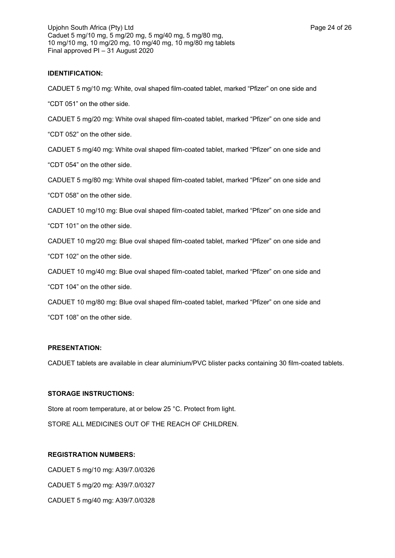## **IDENTIFICATION:**

CADUET 5 mg/10 mg: White, oval shaped film-coated tablet, marked "Pfizer" on one side and

"CDT 051" on the other side.

CADUET 5 mg/20 mg: White oval shaped film-coated tablet, marked "Pfizer" on one side and

"CDT 052" on the other side.

CADUET 5 mg/40 mg: White oval shaped film-coated tablet, marked "Pfizer" on one side and

"CDT 054" on the other side.

CADUET 5 mg/80 mg: White oval shaped film-coated tablet, marked "Pfizer" on one side and

"CDT 058" on the other side.

CADUET 10 mg/10 mg: Blue oval shaped film-coated tablet, marked "Pfizer" on one side and

"CDT 101" on the other side.

CADUET 10 mg/20 mg: Blue oval shaped film-coated tablet, marked "Pfizer" on one side and

"CDT 102" on the other side.

CADUET 10 mg/40 mg: Blue oval shaped film-coated tablet, marked "Pfizer" on one side and

"CDT 104" on the other side.

CADUET 10 mg/80 mg: Blue oval shaped film-coated tablet, marked "Pfizer" on one side and "CDT 108" on the other side.

## **PRESENTATION:**

CADUET tablets are available in clear aluminium/PVC blister packs containing 30 film-coated tablets.

### **STORAGE INSTRUCTIONS:**

Store at room temperature, at or below 25 °C. Protect from light.

STORE ALL MEDICINES OUT OF THE REACH OF CHILDREN.

## **REGISTRATION NUMBERS:**

CADUET 5 mg/10 mg: A39/7.0/0326 CADUET 5 mg/20 mg: A39/7.0/0327 CADUET 5 mg/40 mg: A39/7.0/0328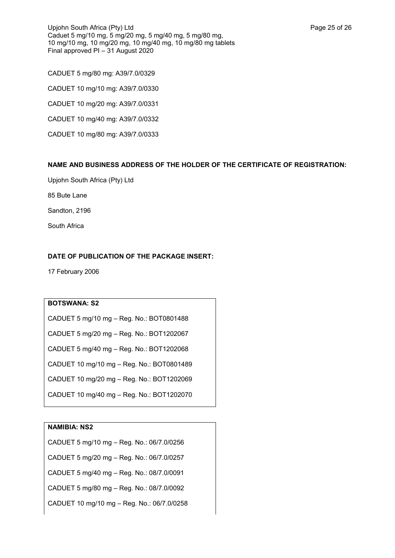CADUET 5 mg/80 mg: A39/7.0/0329 CADUET 10 mg/10 mg: A39/7.0/0330 CADUET 10 mg/20 mg: A39/7.0/0331 CADUET 10 mg/40 mg: A39/7.0/0332 CADUET 10 mg/80 mg: A39/7.0/0333

# **NAME AND BUSINESS ADDRESS OF THE HOLDER OF THE CERTIFICATE OF REGISTRATION:**

Upjohn South Africa (Pty) Ltd

85 Bute Lane

Sandton, 2196

South Africa

# **DATE OF PUBLICATION OF THE PACKAGE INSERT:**

17 February 2006

## **BOTSWANA: S2**

CADUET 5 mg/10 mg – Reg. No.: BOT0801488

CADUET 5 mg/20 mg – Reg. No.: BOT1202067

CADUET 5 mg/40 mg – Reg. No.: BOT1202068

CADUET 10 mg/10 mg – Reg. No.: BOT0801489

CADUET 10 mg/20 mg – Reg. No.: BOT1202069

CADUET 10 mg/40 mg – Reg. No.: BOT1202070

# **NAMIBIA: NS2**

CADUET 5 mg/10 mg – Reg. No.: 06/7.0/0256

CADUET 5 mg/20 mg – Reg. No.: 06/7.0/0257

CADUET 5 mg/40 mg – Reg. No.: 08/7.0/0091

CADUET 5 mg/80 mg – Reg. No.: 08/7.0/0092

CADUET 10 mg/10 mg – Reg. No.: 06/7.0/0258